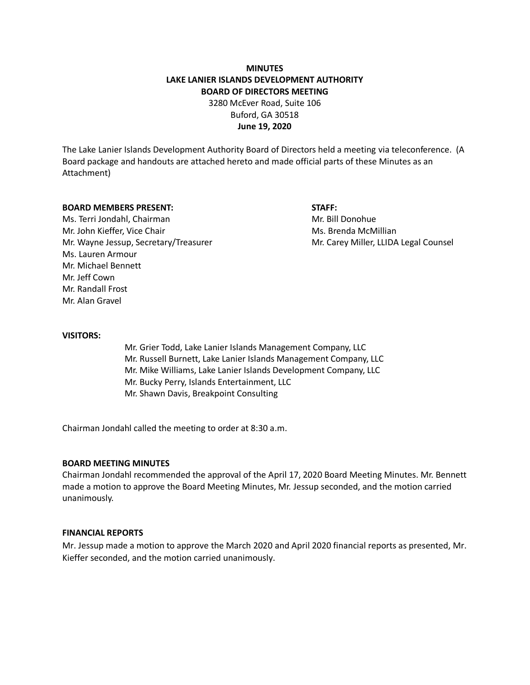# **MINUTES LAKE LANIER ISLANDS DEVELOPMENT AUTHORITY BOARD OF DIRECTORS MEETING** 3280 McEver Road, Suite 106

Buford, GA 30518 **June 19, 2020**

The Lake Lanier Islands Development Authority Board of Directors held a meeting via teleconference. (A Board package and handouts are attached hereto and made official parts of these Minutes as an Attachment)

#### **BOARD MEMBERS PRESENT: STAFF:**

Ms. Terri Jondahl, Chairman Mr. Bill Donohue Mr. John Kieffer, Vice Chair Mus. Brenda McMillian Ms. Brenda McMillian Mr. Wayne Jessup, Secretary/Treasurer Music Carey Miller, LLIDA Legal Counsel Ms. Lauren Armour Mr. Michael Bennett Mr. Jeff Cown Mr. Randall Frost Mr. Alan Gravel

#### **VISITORS:**

Mr. Grier Todd, Lake Lanier Islands Management Company, LLC Mr. Russell Burnett, Lake Lanier Islands Management Company, LLC Mr. Mike Williams, Lake Lanier Islands Development Company, LLC Mr. Bucky Perry, Islands Entertainment, LLC Mr. Shawn Davis, Breakpoint Consulting

Chairman Jondahl called the meeting to order at 8:30 a.m.

#### **BOARD MEETING MINUTES**

Chairman Jondahl recommended the approval of the April 17, 2020 Board Meeting Minutes. Mr. Bennett made a motion to approve the Board Meeting Minutes, Mr. Jessup seconded, and the motion carried unanimously.

## **FINANCIAL REPORTS**

Mr. Jessup made a motion to approve the March 2020 and April 2020 financial reports as presented, Mr. Kieffer seconded, and the motion carried unanimously.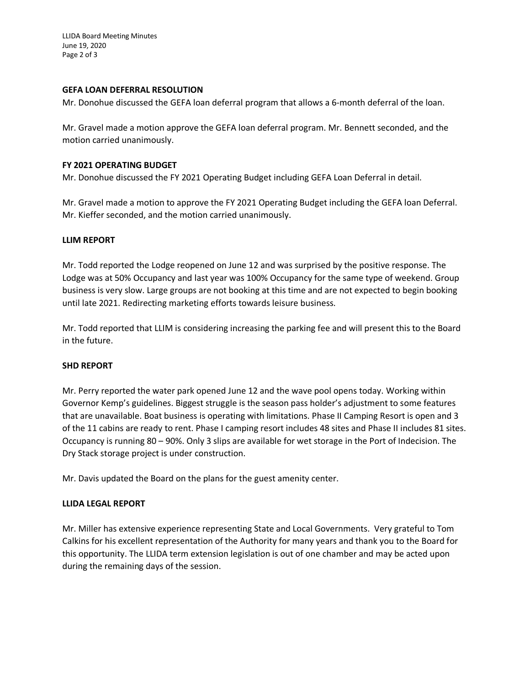LLIDA Board Meeting Minutes June 19, 2020 Page 2 of 3

## **GEFA LOAN DEFERRAL RESOLUTION**

Mr. Donohue discussed the GEFA loan deferral program that allows a 6-month deferral of the loan.

Mr. Gravel made a motion approve the GEFA loan deferral program. Mr. Bennett seconded, and the motion carried unanimously.

### **FY 2021 OPERATING BUDGET**

Mr. Donohue discussed the FY 2021 Operating Budget including GEFA Loan Deferral in detail.

Mr. Gravel made a motion to approve the FY 2021 Operating Budget including the GEFA loan Deferral. Mr. Kieffer seconded, and the motion carried unanimously.

## **LLIM REPORT**

Mr. Todd reported the Lodge reopened on June 12 and was surprised by the positive response. The Lodge was at 50% Occupancy and last year was 100% Occupancy for the same type of weekend. Group business is very slow. Large groups are not booking at this time and are not expected to begin booking until late 2021. Redirecting marketing efforts towards leisure business.

Mr. Todd reported that LLIM is considering increasing the parking fee and will present this to the Board in the future.

# **SHD REPORT**

Mr. Perry reported the water park opened June 12 and the wave pool opens today. Working within Governor Kemp's guidelines. Biggest struggle is the season pass holder's adjustment to some features that are unavailable. Boat business is operating with limitations. Phase II Camping Resort is open and 3 of the 11 cabins are ready to rent. Phase I camping resort includes 48 sites and Phase II includes 81 sites. Occupancy is running 80 – 90%. Only 3 slips are available for wet storage in the Port of Indecision. The Dry Stack storage project is under construction.

Mr. Davis updated the Board on the plans for the guest amenity center.

#### **LLIDA LEGAL REPORT**

Mr. Miller has extensive experience representing State and Local Governments. Very grateful to Tom Calkins for his excellent representation of the Authority for many years and thank you to the Board for this opportunity. The LLIDA term extension legislation is out of one chamber and may be acted upon during the remaining days of the session.